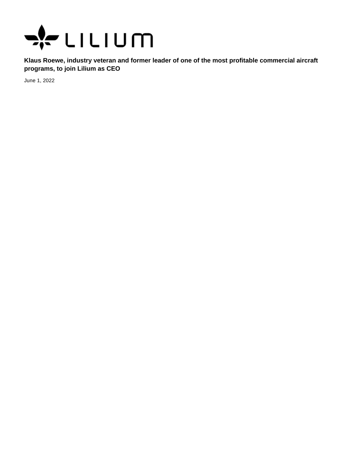

**Klaus Roewe, industry veteran and former leader of one of the most profitable commercial aircraft programs, to join Lilium as CEO**

June 1, 2022